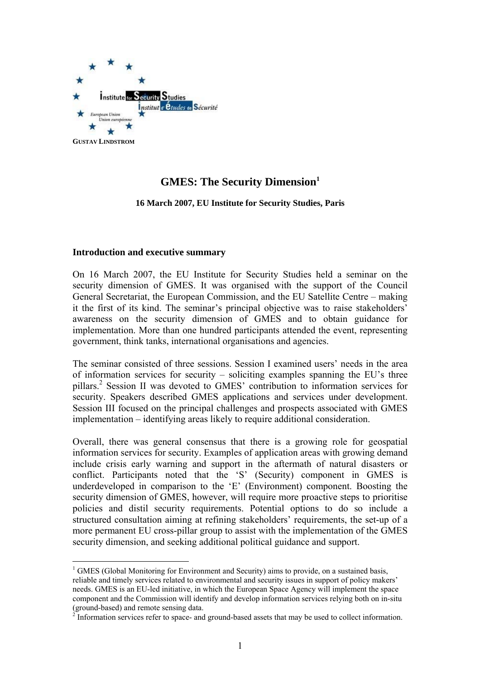

# **GMES: The Security Dimension**<sup>1</sup>

**16 March 2007, EU Institute for Security Studies, Paris**

#### **Introduction and executive summary**

 $\overline{a}$ 

On 16 March 2007, the EU Institute for Security Studies held a seminar on the security dimension of GMES. It was organised with the support of the Council General Secretariat, the European Commission, and the EU Satellite Centre – making it the first of its kind. The seminar's principal objective was to raise stakeholders' awareness on the security dimension of GMES and to obtain guidance for implementation. More than one hundred participants attended the event, representing government, think tanks, international organisations and agencies.

The seminar consisted of three sessions. Session I examined users' needs in the area of information services for security – soliciting examples spanning the EU's three pillars.<sup>2</sup> Session II was devoted to GMES' contribution to information services for security. Speakers described GMES applications and services under development. Session III focused on the principal challenges and prospects associated with GMES implementation – identifying areas likely to require additional consideration.

Overall, there was general consensus that there is a growing role for geospatial information services for security. Examples of application areas with growing demand include crisis early warning and support in the aftermath of natural disasters or conflict. Participants noted that the 'S' (Security) component in GMES is underdeveloped in comparison to the 'E' (Environment) component. Boosting the security dimension of GMES, however, will require more proactive steps to prioritise policies and distil security requirements. Potential options to do so include a structured consultation aiming at refining stakeholders' requirements, the set-up of a more permanent EU cross-pillar group to assist with the implementation of the GMES security dimension, and seeking additional political guidance and support.

 $1$  GMES (Global Monitoring for Environment and Security) aims to provide, on a sustained basis, reliable and timely services related to environmental and security issues in support of policy makers' needs. GMES is an EU-led initiative, in which the European Space Agency will implement the space component and the Commission will identify and develop information services relying both on in-situ (ground-based) and remote sensing data.

<sup>&</sup>lt;sup>2</sup> Information services refer to space- and ground-based assets that may be used to collect information.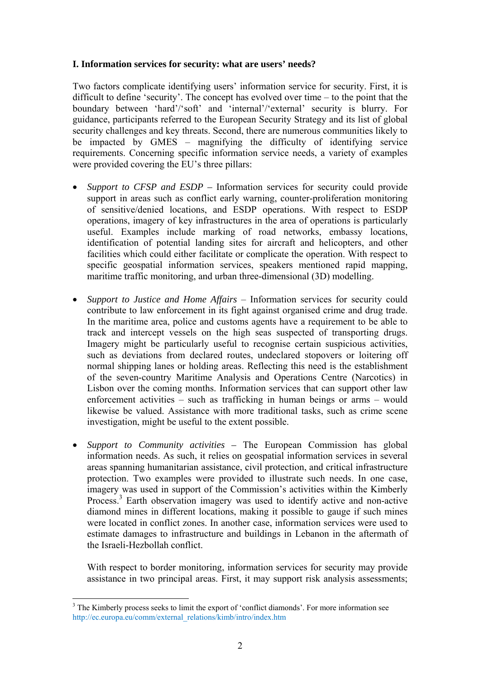#### **I. Information services for security: what are users' needs?**

Two factors complicate identifying users' information service for security. First, it is difficult to define 'security'. The concept has evolved over time – to the point that the boundary between 'hard'/'soft' and 'internal'/'external' security is blurry. For guidance, participants referred to the European Security Strategy and its list of global security challenges and key threats. Second, there are numerous communities likely to be impacted by GMES – magnifying the difficulty of identifying service requirements. Concerning specific information service needs, a variety of examples were provided covering the EU's three pillars:

- *Support to CFSP and ESDP* Information services for security could provide support in areas such as conflict early warning, counter-proliferation monitoring of sensitive/denied locations, and ESDP operations. With respect to ESDP operations, imagery of key infrastructures in the area of operations is particularly useful. Examples include marking of road networks, embassy locations, identification of potential landing sites for aircraft and helicopters, and other facilities which could either facilitate or complicate the operation. With respect to specific geospatial information services, speakers mentioned rapid mapping, maritime traffic monitoring, and urban three-dimensional (3D) modelling.
- *Support to Justice and Home Affairs*  Information services for security could contribute to law enforcement in its fight against organised crime and drug trade. In the maritime area, police and customs agents have a requirement to be able to track and intercept vessels on the high seas suspected of transporting drugs. Imagery might be particularly useful to recognise certain suspicious activities, such as deviations from declared routes, undeclared stopovers or loitering off normal shipping lanes or holding areas. Reflecting this need is the establishment of the seven-country Maritime Analysis and Operations Centre (Narcotics) in Lisbon over the coming months. Information services that can support other law enforcement activities – such as trafficking in human beings or arms – would likewise be valued. Assistance with more traditional tasks, such as crime scene investigation, might be useful to the extent possible.
- *Support to Community activities* The European Commission has global information needs. As such, it relies on geospatial information services in several areas spanning humanitarian assistance, civil protection, and critical infrastructure protection. Two examples were provided to illustrate such needs. In one case, imagery was used in support of the Commission's activities within the Kimberly Process.<sup>3</sup> Earth observation imagery was used to identify active and non-active diamond mines in different locations, making it possible to gauge if such mines were located in conflict zones. In another case, information services were used to estimate damages to infrastructure and buildings in Lebanon in the aftermath of the Israeli-Hezbollah conflict.

With respect to border monitoring, information services for security may provide assistance in two principal areas. First, it may support risk analysis assessments;

 $\overline{a}$ <sup>3</sup> The Kimberly process seeks to limit the export of 'conflict diamonds'. For more information see [http://ec.europa.eu/comm/external\\_relations/kimb/intro/index.htm](http://ec.europa.eu/comm/external_relations/kimb/intro/index.htm)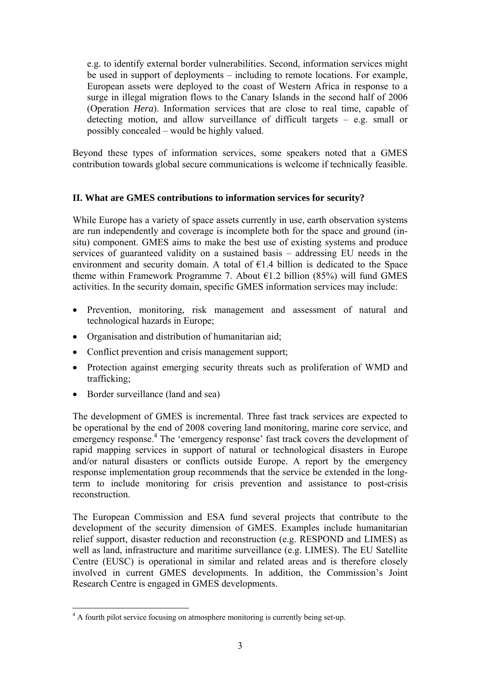e.g. to identify external border vulnerabilities. Second, information services might be used in support of deployments – including to remote locations. For example, European assets were deployed to the coast of Western Africa in response to a surge in illegal migration flows to the Canary Islands in the second half of 2006 (Operation *Hera*). Information services that are close to real time, capable of detecting motion, and allow surveillance of difficult targets  $-$  e.g. small or possibly concealed – would be highly valued.

Beyond these types of information services, some speakers noted that a GMES contribution towards global secure communications is welcome if technically feasible.

#### **II. What are GMES contributions to information services for security?**

While Europe has a variety of space assets currently in use, earth observation systems are run independently and coverage is incomplete both for the space and ground (insitu) component. GMES aims to make the best use of existing systems and produce services of guaranteed validity on a sustained basis – addressing EU needs in the environment and security domain. A total of  $E1.4$  billion is dedicated to the Space theme within Framework Programme 7. About  $\epsilon$ 1.2 billion (85%) will fund GMES activities. In the security domain, specific GMES information services may include:

- Prevention, monitoring, risk management and assessment of natural and technological hazards in Europe;
- Organisation and distribution of humanitarian aid;
- Conflict prevention and crisis management support;
- Protection against emerging security threats such as proliferation of WMD and trafficking;
- Border surveillance (land and sea)

The development of GMES is incremental. Three fast track services are expected to be operational by the end of 2008 covering land monitoring, marine core service, and emergency response.<sup>4</sup> The 'emergency response' fast track covers the development of rapid mapping services in support of natural or technological disasters in Europe and/or natural disasters or conflicts outside Europe. A report by the emergency response implementation group recommends that the service be extended in the longterm to include monitoring for crisis prevention and assistance to post-crisis reconstruction.

The European Commission and ESA fund several projects that contribute to the development of the security dimension of GMES. Examples include humanitarian relief support, disaster reduction and reconstruction (e.g. RESPOND and LIMES) as well as land, infrastructure and maritime surveillance (e.g. LIMES). The EU Satellite Centre (EUSC) is operational in similar and related areas and is therefore closely involved in current GMES developments. In addition, the Commission's Joint Research Centre is engaged in GMES developments.

<sup>&</sup>lt;sup>4</sup> A fourth pilot service focusing on atmosphere monitoring is currently being set-up.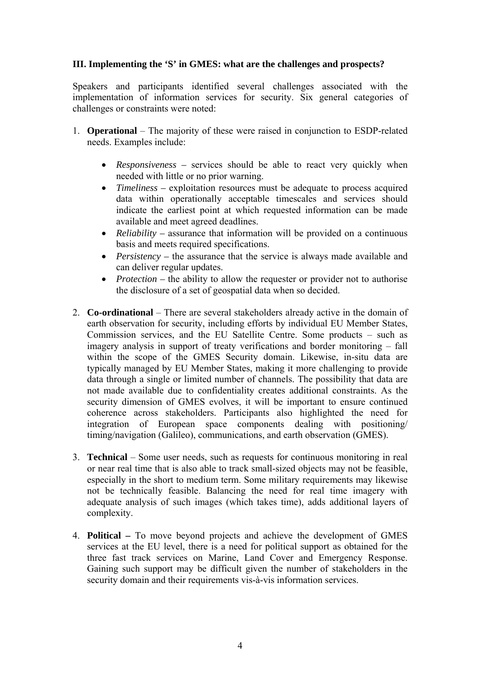### **III. Implementing the 'S' in GMES: what are the challenges and prospects?**

Speakers and participants identified several challenges associated with the implementation of information services for security. Six general categories of challenges or constraints were noted:

- 1. **Operational** The majority of these were raised in conjunction to ESDP-related needs. Examples include:
	- *Responsiveness* services should be able to react very quickly when needed with little or no prior warning.
	- *Timeliness –* exploitation resources must be adequate to process acquired data within operationally acceptable timescales and services should indicate the earliest point at which requested information can be made available and meet agreed deadlines.
	- *Reliability* assurance that information will be provided on a continuous basis and meets required specifications.
	- *Persistency* the assurance that the service is always made available and can deliver regular updates.
	- *Protection* the ability to allow the requester or provider not to authorise the disclosure of a set of geospatial data when so decided.
- 2. **Co-ordinational** There are several stakeholders already active in the domain of earth observation for security, including efforts by individual EU Member States, Commission services, and the EU Satellite Centre. Some products – such as imagery analysis in support of treaty verifications and border monitoring – fall within the scope of the GMES Security domain. Likewise, in-situ data are typically managed by EU Member States, making it more challenging to provide data through a single or limited number of channels. The possibility that data are not made available due to confidentiality creates additional constraints. As the security dimension of GMES evolves, it will be important to ensure continued coherence across stakeholders. Participants also highlighted the need for integration of European space components dealing with positioning/ timing/navigation (Galileo), communications, and earth observation (GMES).
- 3. **Technical**  Some user needs, such as requests for continuous monitoring in real or near real time that is also able to track small-sized objects may not be feasible, especially in the short to medium term. Some military requirements may likewise not be technically feasible. Balancing the need for real time imagery with adequate analysis of such images (which takes time), adds additional layers of complexity.
- 4. **Political** To move beyond projects and achieve the development of GMES services at the EU level, there is a need for political support as obtained for the three fast track services on Marine, Land Cover and Emergency Response. Gaining such support may be difficult given the number of stakeholders in the security domain and their requirements vis-à-vis information services.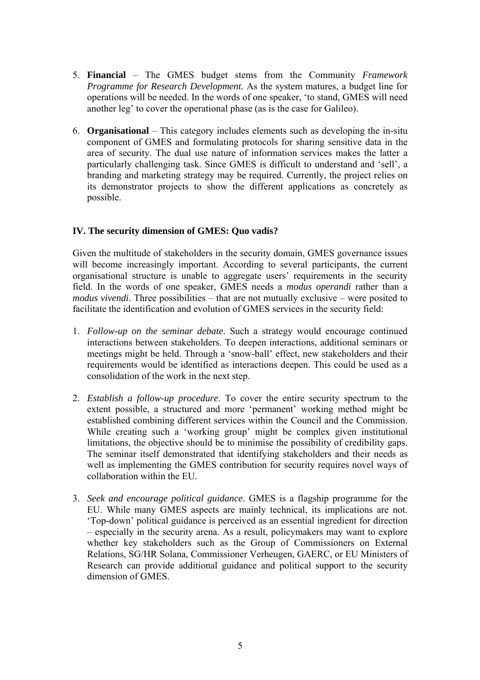- 5. **Financial** The GMES budget stems from the Community *Framework Programme for Research Development.* As the system matures, a budget line for operations will be needed. In the words of one speaker, 'to stand, GMES will need another leg' to cover the operational phase (as is the case for Galileo).
- 6. **Organisational** This category includes elements such as developing the in-situ component of GMES and formulating protocols for sharing sensitive data in the area of security. The dual use nature of information services makes the latter a particularly challenging task. Since GMES is difficult to understand and 'sell', a branding and marketing strategy may be required. Currently, the project relies on its demonstrator projects to show the different applications as concretely as possible.

# **IV. The security dimension of GMES: Quo vadis?**

Given the multitude of stakeholders in the security domain, GMES governance issues will become increasingly important. According to several participants, the current organisational structure is unable to aggregate users' requirements in the security field. In the words of one speaker, GMES needs a *modus operandi* rather than a *modus vivendi*. Three possibilities – that are not mutually exclusive – were posited to facilitate the identification and evolution of GMES services in the security field:

- 1. *Follow-up on the seminar debate*. Such a strategy would encourage continued interactions between stakeholders. To deepen interactions, additional seminars or meetings might be held. Through a 'snow-ball' effect, new stakeholders and their requirements would be identified as interactions deepen. This could be used as a consolidation of the work in the next step.
- 2. *Establish a follow-up procedure*. To cover the entire security spectrum to the extent possible, a structured and more 'permanent' working method might be established combining different services within the Council and the Commission. While creating such a 'working group' might be complex given institutional limitations, the objective should be to minimise the possibility of credibility gaps. The seminar itself demonstrated that identifying stakeholders and their needs as well as implementing the GMES contribution for security requires novel ways of collaboration within the EU.
- 3. *Seek and encourage political guidance*. GMES is a flagship programme for the EU. While many GMES aspects are mainly technical, its implications are not. 'Top-down' political guidance is perceived as an essential ingredient for direction – especially in the security arena. As a result, policymakers may want to explore whether key stakeholders such as the Group of Commissioners on External Relations, SG/HR Solana, Commissioner Verheugen, GAERC, or EU Ministers of Research can provide additional guidance and political support to the security dimension of GMES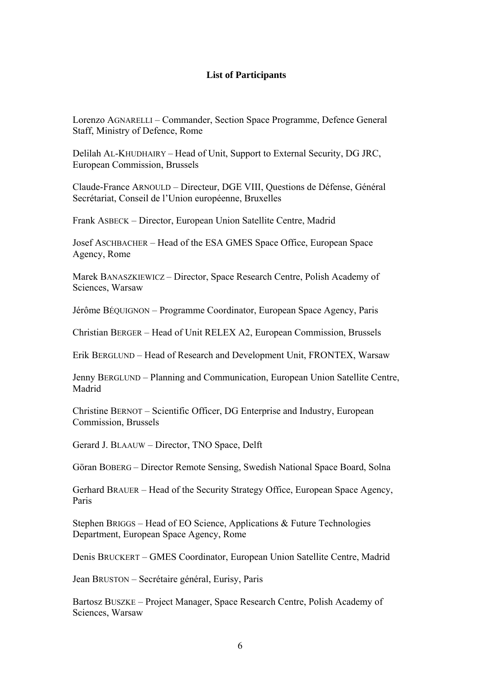#### **List of Participants**

Lorenzo AGNARELLI – Commander, Section Space Programme, Defence General Staff, Ministry of Defence, Rome

Delilah AL-KHUDHAIRY – Head of Unit, Support to External Security, DG JRC, European Commission, Brussels

Claude-France ARNOULD – Directeur, DGE VIII, Questions de Défense, Général Secrétariat, Conseil de l'Union européenne, Bruxelles

Frank ASBECK – Director, European Union Satellite Centre, Madrid

Josef ASCHBACHER – Head of the ESA GMES Space Office, European Space Agency, Rome

Marek BANASZKIEWICZ – Director, Space Research Centre, Polish Academy of Sciences, Warsaw

Jérôme BÉQUIGNON – Programme Coordinator, European Space Agency, Paris

Christian BERGER – Head of Unit RELEX A2, European Commission, Brussels

Erik BERGLUND – Head of Research and Development Unit, FRONTEX, Warsaw

Jenny BERGLUND – Planning and Communication, European Union Satellite Centre, Madrid

Christine BERNOT – Scientific Officer, DG Enterprise and Industry, European Commission, Brussels

Gerard J. BLAAUW – Director, TNO Space, Delft

Göran BOBERG – Director Remote Sensing, Swedish National Space Board, Solna

Gerhard BRAUER – Head of the Security Strategy Office, European Space Agency, Paris

Stephen BRIGGS – Head of EO Science, Applications & Future Technologies Department, European Space Agency, Rome

Denis BRUCKERT – GMES Coordinator, European Union Satellite Centre, Madrid

Jean BRUSTON – Secrétaire général, Eurisy, Paris

Bartosz BUSZKE – Project Manager, Space Research Centre, Polish Academy of Sciences, Warsaw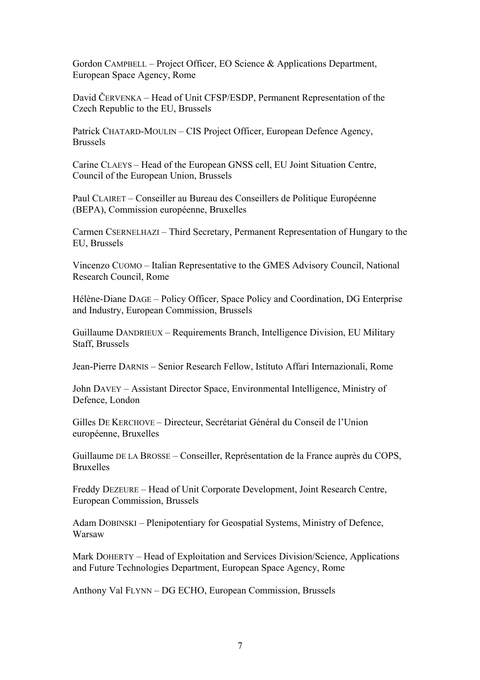Gordon CAMPBELL – Project Officer, EO Science & Applications Department, European Space Agency, Rome

David ČERVENKA – Head of Unit CFSP/ESDP, Permanent Representation of the Czech Republic to the EU, Brussels

Patrick CHATARD-MOULIN – CIS Project Officer, European Defence Agency, Brussels

Carine CLAEYS – Head of the European GNSS cell, EU Joint Situation Centre, Council of the European Union, Brussels

Paul CLAIRET – Conseiller au Bureau des Conseillers de Politique Européenne (BEPA), Commission européenne, Bruxelles

Carmen CSERNELHAZI – Third Secretary, Permanent Representation of Hungary to the EU, Brussels

Vincenzo CUOMO – Italian Representative to the GMES Advisory Council, National Research Council, Rome

Hélène-Diane DAGE – Policy Officer, Space Policy and Coordination, DG Enterprise and Industry, European Commission, Brussels

Guillaume DANDRIEUX – Requirements Branch, Intelligence Division, EU Military Staff, Brussels

Jean-Pierre DARNIS – Senior Research Fellow, Istituto Affari Internazionali, Rome

John DAVEY – Assistant Director Space, Environmental Intelligence, Ministry of Defence, London

Gilles DE KERCHOVE – Directeur, Secrétariat Général du Conseil de l'Union européenne, Bruxelles

Guillaume DE LA BROSSE – Conseiller, Représentation de la France auprès du COPS, Bruxelles

Freddy DEZEURE – Head of Unit Corporate Development, Joint Research Centre, European Commission, Brussels

Adam DOBINSKI – Plenipotentiary for Geospatial Systems, Ministry of Defence, Warsaw

Mark DOHERTY – Head of Exploitation and Services Division/Science, Applications and Future Technologies Department, European Space Agency, Rome

Anthony Val FLYNN – DG ECHO, European Commission, Brussels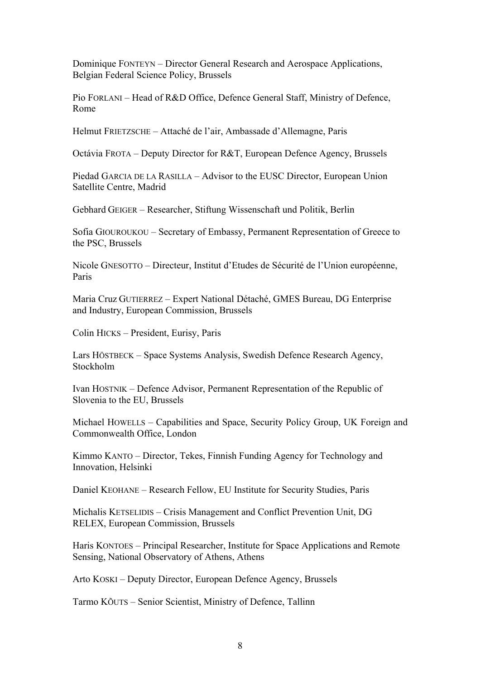Dominique FONTEYN – Director General Research and Aerospace Applications, Belgian Federal Science Policy, Brussels

Pio FORLANI – Head of R&D Office, Defence General Staff, Ministry of Defence, Rome

Helmut FRIETZSCHE – Attaché de l'air, Ambassade d'Allemagne, Paris

Octávia FROTA – Deputy Director for R&T, European Defence Agency, Brussels

Piedad GARCIA DE LA RASILLA – Advisor to the EUSC Director, European Union Satellite Centre, Madrid

Gebhard GEIGER – Researcher, Stiftung Wissenschaft und Politik, Berlin

Sofia GIOUROUKOU – Secretary of Embassy, Permanent Representation of Greece to the PSC, Brussels

Nicole GNESOTTO – Directeur, Institut d'Etudes de Sécurité de l'Union européenne, Paris

Maria Cruz GUTIERREZ – Expert National Détaché, GMES Bureau, DG Enterprise and Industry, European Commission, Brussels

Colin HICKS – President, Eurisy, Paris

Lars HÖSTBECK – Space Systems Analysis, Swedish Defence Research Agency, Stockholm

Ivan HOSTNIK – Defence Advisor, Permanent Representation of the Republic of Slovenia to the EU, Brussels

Michael HOWELLS – Capabilities and Space, Security Policy Group, UK Foreign and Commonwealth Office, London

Kimmo KANTO – Director, Tekes, Finnish Funding Agency for Technology and Innovation, Helsinki

Daniel KEOHANE – Research Fellow, EU Institute for Security Studies, Paris

Michalis KETSELIDIS – Crisis Management and Conflict Prevention Unit, DG RELEX, European Commission, Brussels

Haris KONTOES – Principal Researcher, Institute for Space Applications and Remote Sensing, National Observatory of Athens, Athens

Arto KOSKI – Deputy Director, European Defence Agency, Brussels

Tarmo KÕUTS – Senior Scientist, Ministry of Defence, Tallinn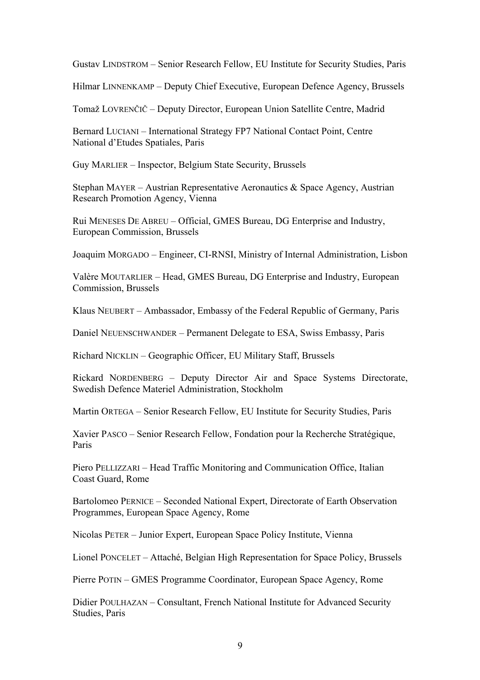Gustav LINDSTROM – Senior Research Fellow, EU Institute for Security Studies, Paris

Hilmar LINNENKAMP – Deputy Chief Executive, European Defence Agency, Brussels

Tomaž LOVRENČIČ – Deputy Director, European Union Satellite Centre, Madrid

Bernard LUCIANI – International Strategy FP7 National Contact Point, Centre National d'Etudes Spatiales, Paris

Guy MARLIER – Inspector, Belgium State Security, Brussels

Stephan MAYER – Austrian Representative Aeronautics  $\&$  Space Agency, Austrian Research Promotion Agency, Vienna

Rui MENESES DE ABREU – Official, GMES Bureau, DG Enterprise and Industry, European Commission, Brussels

Joaquim MORGADO – Engineer, CI-RNSI, Ministry of Internal Administration, Lisbon

Valère MOUTARLIER – Head, GMES Bureau, DG Enterprise and Industry, European Commission, Brussels

Klaus NEUBERT – Ambassador, Embassy of the Federal Republic of Germany, Paris

Daniel NEUENSCHWANDER – Permanent Delegate to ESA, Swiss Embassy, Paris

Richard NICKLIN – Geographic Officer, EU Military Staff, Brussels

Rickard NORDENBERG – Deputy Director Air and Space Systems Directorate, Swedish Defence Materiel Administration, Stockholm

Martin ORTEGA – Senior Research Fellow, EU Institute for Security Studies, Paris

Xavier PASCO – Senior Research Fellow, Fondation pour la Recherche Stratégique, Paris

Piero PELLIZZARI – Head Traffic Monitoring and Communication Office, Italian Coast Guard, Rome

Bartolomeo PERNICE – Seconded National Expert, Directorate of Earth Observation Programmes, European Space Agency, Rome

Nicolas PETER – Junior Expert, European Space Policy Institute, Vienna

Lionel PONCELET – Attaché, Belgian High Representation for Space Policy, Brussels

Pierre POTIN – GMES Programme Coordinator, European Space Agency, Rome

Didier POULHAZAN – Consultant, French National Institute for Advanced Security Studies, Paris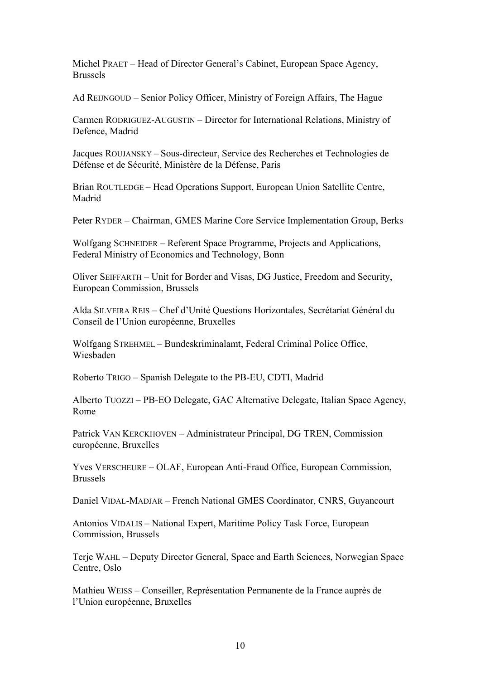Michel PRAET – Head of Director General's Cabinet, European Space Agency, Brussels

Ad REIJNGOUD – Senior Policy Officer, Ministry of Foreign Affairs, The Hague

Carmen RODRIGUEZ-AUGUSTIN – Director for International Relations, Ministry of Defence, Madrid

Jacques ROUJANSKY – Sous-directeur, Service des Recherches et Technologies de Défense et de Sécurité, Ministère de la Défense, Paris

Brian ROUTLEDGE – Head Operations Support, European Union Satellite Centre, Madrid

Peter RYDER – Chairman, GMES Marine Core Service Implementation Group, Berks

Wolfgang SCHNEIDER – Referent Space Programme, Projects and Applications, Federal Ministry of Economics and Technology, Bonn

Oliver SEIFFARTH – Unit for Border and Visas, DG Justice, Freedom and Security, European Commission, Brussels

Alda SILVEIRA REIS – Chef d'Unité Questions Horizontales, Secrétariat Général du Conseil de l'Union européenne, Bruxelles

Wolfgang STREHMEL – Bundeskriminalamt, Federal Criminal Police Office, Wiesbaden

Roberto TRIGO – Spanish Delegate to the PB-EU, CDTI, Madrid

Alberto TUOZZI – PB-EO Delegate, GAC Alternative Delegate, Italian Space Agency, Rome

Patrick VAN KERCKHOVEN – Administrateur Principal, DG TREN, Commission européenne, Bruxelles

Yves VERSCHEURE – OLAF, European Anti-Fraud Office, European Commission, Brussels

Daniel VIDAL-MADJAR – French National GMES Coordinator, CNRS, Guyancourt

Antonios VIDALIS – National Expert, Maritime Policy Task Force, European Commission, Brussels

Terje WAHL – Deputy Director General, Space and Earth Sciences, Norwegian Space Centre, Oslo

Mathieu WEISS – Conseiller, Représentation Permanente de la France auprès de l'Union européenne, Bruxelles